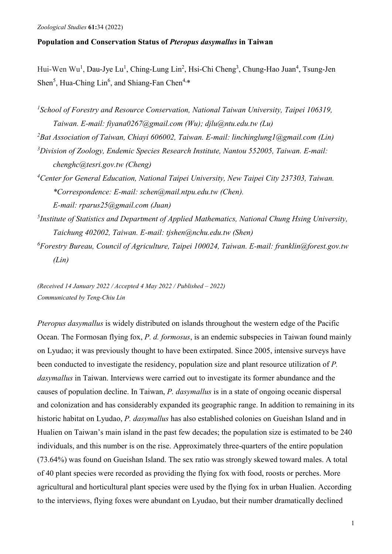# **Population and Conservation Status of** *Pteropus dasymallus* **in Taiwan**

Hui-Wen Wu<sup>1</sup>, Dau-Jye Lu<sup>1</sup>, Ching-Lung Lin<sup>2</sup>, Hsi-Chi Cheng<sup>3</sup>, Chung-Hao Juan<sup>4</sup>, Tsung-Jen Shen<sup>5</sup>, Hua-Ching Lin<sup>6</sup>, and Shiang-Fan Chen<sup>4,\*</sup>

- *1 School of Forestry and Resource Conservation, National Taiwan University, Taipei 106319, Taiwan. E-mail: fiyana0267@gmail.com (Wu); djlu@ntu.edu.tw (Lu)*
- *2 Bat Association of Taiwan, Chiayi 606002, Taiwan. E-mail: linchinglung1@gmail.com (Lin)*
- *3 Division of Zoology, Endemic Species Research Institute, Nantou 552005, Taiwan. E-mail: chenghc@tesri.gov.tw (Cheng)*
- *4 Center for General Education, National Taipei University, New Taipei City 237303, Taiwan. \*Correspondence: E-mail: schen@mail.ntpu.edu.tw (Chen). E-mail: rparus25@gmail.com (Juan)*
- *5 Institute of Statistics and Department of Applied Mathematics, National Chung Hsing University, Taichung 402002, Taiwan. E-mail: tjshen@nchu.edu.tw (Shen)*
- *6 Forestry Bureau, Council of Agriculture, Taipei 100024, Taiwan. E-mail: franklin@forest.gov.tw (Lin)*

*(Received 14 January 2022 / Accepted 4 May 2022 / Published – 2022) Communicated by Teng-Chiu Lin*

*Pteropus dasymallus* is widely distributed on islands throughout the western edge of the Pacific Ocean. The Formosan flying fox, *P. d. formosus*, is an endemic subspecies in Taiwan found mainly on Lyudao; it was previously thought to have been extirpated. Since 2005, intensive surveys have been conducted to investigate the residency, population size and plant resource utilization of *P. dasymallus* in Taiwan. Interviews were carried out to investigate its former abundance and the causes of population decline. In Taiwan, *P. dasymallus* is in a state of ongoing oceanic dispersal and colonization and has considerably expanded its geographic range. In addition to remaining in its historic habitat on Lyudao, *P. dasymallus* has also established colonies on Gueishan Island and in Hualien on Taiwan's main island in the past few decades; the population size is estimated to be 240 individuals, and this number is on the rise. Approximately three-quarters of the entire population (73.64%) was found on Gueishan Island. The sex ratio was strongly skewed toward males. A total of 40 plant species were recorded as providing the flying fox with food, roosts or perches. More agricultural and horticultural plant species were used by the flying fox in urban Hualien. According to the interviews, flying foxes were abundant on Lyudao, but their number dramatically declined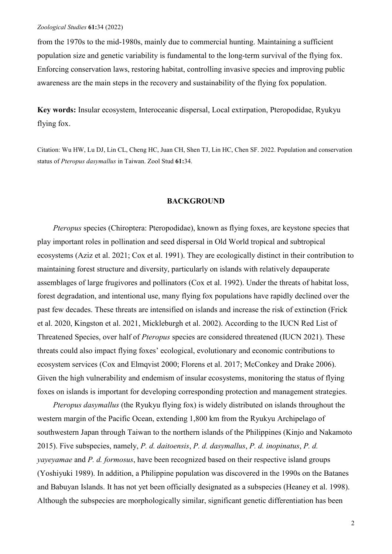from the 1970s to the mid-1980s, mainly due to commercial hunting. Maintaining a sufficient population size and genetic variability is fundamental to the long-term survival of the flying fox. Enforcing conservation laws, restoring habitat, controlling invasive species and improving public awareness are the main steps in the recovery and sustainability of the flying fox population.

**Key words:** Insular ecosystem, Interoceanic dispersal, Local extirpation, Pteropodidae, Ryukyu flying fox.

Citation: Wu HW, Lu DJ, Lin CL, Cheng HC, Juan CH, Shen TJ, Lin HC, Chen SF. 2022. Population and conservation status of *Pteropus dasymallus* in Taiwan. Zool Stud **61:**34.

### **BACKGROUND**

*Pteropus* species (Chiroptera: Pteropodidae), known as flying foxes, are keystone species that play important roles in pollination and seed dispersal in Old World tropical and subtropical ecosystems (Aziz et al. 2021; Cox et al. 1991). They are ecologically distinct in their contribution to maintaining forest structure and diversity, particularly on islands with relatively depauperate assemblages of large frugivores and pollinators (Cox et al. 1992). Under the threats of habitat loss, forest degradation, and intentional use, many flying fox populations have rapidly declined over the past few decades. These threats are intensified on islands and increase the risk of extinction (Frick et al. 2020, Kingston et al. 2021, Mickleburgh et al. 2002). According to the IUCN Red List of Threatened Species, over half of *Pteropus* species are considered threatened (IUCN 2021). These threats could also impact flying foxes' ecological, evolutionary and economic contributions to ecosystem services (Cox and Elmqvist 2000; Florens et al. 2017; McConkey and Drake 2006). Given the high vulnerability and endemism of insular ecosystems, monitoring the status of flying foxes on islands is important for developing corresponding protection and management strategies.

*Pteropus dasymallus* (the Ryukyu flying fox) is widely distributed on islands throughout the western margin of the Pacific Ocean, extending 1,800 km from the Ryukyu Archipelago of southwestern Japan through Taiwan to the northern islands of the Philippines (Kinjo and Nakamoto 2015). Five subspecies, namely, *P. d. daitoensis*, *P. d. dasymallus*, *P. d. inopinatus*, *P. d. yayeyamae* and *P. d. formosus*, have been recognized based on their respective island groups (Yoshiyuki 1989). In addition, a Philippine population was discovered in the 1990s on the Batanes and Babuyan Islands. It has not yet been officially designated as a subspecies (Heaney et al. 1998). Although the subspecies are morphologically similar, significant genetic differentiation has been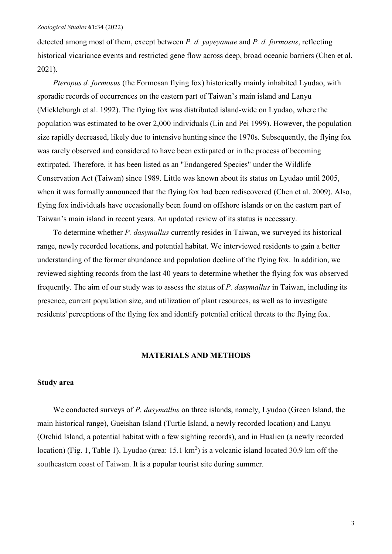detected among most of them, except between *P. d. yayeyamae* and *P. d. formosus*, reflecting historical vicariance events and restricted gene flow across deep, broad oceanic barriers (Chen et al. 2021).

*Pteropus d. formosus* (the Formosan flying fox) historically mainly inhabited Lyudao, with sporadic records of occurrences on the eastern part of Taiwan's main island and Lanyu (Mickleburgh et al. 1992). The flying fox was distributed island-wide on Lyudao, where the population was estimated to be over 2,000 individuals (Lin and Pei 1999). However, the population size rapidly decreased, likely due to intensive hunting since the 1970s. Subsequently, the flying fox was rarely observed and considered to have been extirpated or in the process of becoming extirpated. Therefore, it has been listed as an "Endangered Species" under the Wildlife Conservation Act (Taiwan) since 1989. Little was known about its status on Lyudao until 2005, when it was formally announced that the flying fox had been rediscovered (Chen et al. 2009). Also, flying fox individuals have occasionally been found on offshore islands or on the eastern part of Taiwan's main island in recent years. An updated review of its status is necessary.

To determine whether *P. dasymallus* currently resides in Taiwan, we surveyed its historical range, newly recorded locations, and potential habitat. We interviewed residents to gain a better understanding of the former abundance and population decline of the flying fox. In addition, we reviewed sighting records from the last 40 years to determine whether the flying fox was observed frequently. The aim of our study was to assess the status of *P. dasymallus* in Taiwan, including its presence, current population size, and utilization of plant resources, as well as to investigate residents' perceptions of the flying fox and identify potential critical threats to the flying fox.

### **MATERIALS AND METHODS**

## **Study area**

We conducted surveys of *P. dasymallus* on three islands, namely, Lyudao (Green Island, the main historical range), Gueishan Island (Turtle Island, a newly recorded location) and Lanyu (Orchid Island, a potential habitat with a few sighting records), and in Hualien (a newly recorded location) (Fig. 1, Table 1). Lyudao (area: 15.1 km<sup>2</sup>) is a volcanic island located 30.9 km off the southeastern coast of Taiwan. It is a popular tourist site during summer.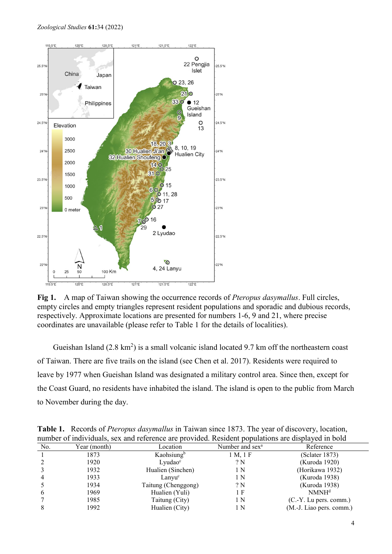

**Fig 1.** A map of Taiwan showing the occurrence records of *Pteropus dasymallus*. Full circles, empty circles and empty triangles represent resident populations and sporadic and dubious records, respectively. Approximate locations are presented for numbers 1-6, 9 and 21, where precise coordinates are unavailable (please refer to Table 1 for the details of localities).

Gueishan Island  $(2.8 \text{ km}^2)$  is a small volcanic island located 9.7 km off the northeastern coast of Taiwan. There are five trails on the island (see Chen et al. 2017). Residents were required to leave by 1977 when Gueishan Island was designated a military control area. Since then, except for the Coast Guard, no residents have inhabited the island. The island is open to the public from March to November during the day.

|     |              | number of individuals, sex and reference are provided. Resident populations are displayed in bold |                             |                          |
|-----|--------------|---------------------------------------------------------------------------------------------------|-----------------------------|--------------------------|
| No. | Year (month) | Location                                                                                          | Number and sex <sup>a</sup> | Reference                |
|     | 1873         | Kaohsiung <sup>b</sup>                                                                            | 1 M, 1 F                    | (Sclater 1873)           |
|     | 1920         | Lyudao <sup>c</sup>                                                                               | ? N                         | (Kuroda 1920)            |
|     | 1932         | Hualien (Sinchen)                                                                                 | 1 N                         | (Horikawa 1932)          |
|     | 1933         | Lanyu <sup>c</sup>                                                                                | 1 N                         | (Kuroda 1938)            |
|     | 1934         | Taitung (Chenggong)                                                                               | ? N                         | (Kuroda 1938)            |
| o   | 1969         | Hualien (Yuli)                                                                                    | 1 F                         | NMNH <sup>d</sup>        |
|     | 1985         | Taitung (City)                                                                                    | 1 N                         | $(C.-Y.$ Lu pers. comm.) |
|     | 1992         | Hualien (City)                                                                                    | 1 N                         | (M.-J. Liao pers. comm.) |
|     |              |                                                                                                   |                             |                          |

**Table 1.** Records of *Pteropus dasymallus* in Taiwan since 1873. The year of discovery, location, number of individuals, sex and reference are provided. Resident populations are displayed in bold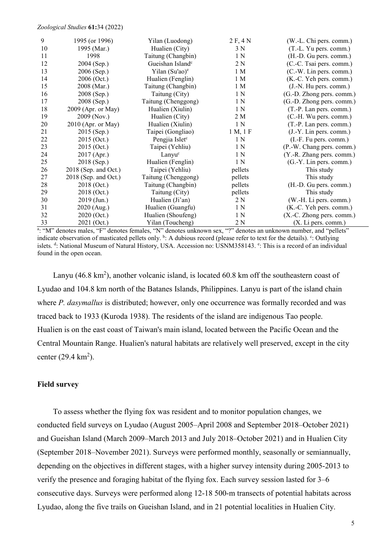| 9  | 1995 (or 1996)         | Yilan (Luodong)              | 2 F, 4 N       | (W.-L. Chi pers. comm.)   |
|----|------------------------|------------------------------|----------------|---------------------------|
| 10 | 1995 (Mar.)            | Hualien (City)               | 3 N            | (T.-L. Yu pers. comm.)    |
| 11 | 1998                   | Taitung (Changbin)           | 1 <sub>N</sub> | (H.-D. Gu pers. comm.)    |
| 12 | 2004 (Sep.)            | Gueishan Island <sup>e</sup> | 2 N            | (C.-C. Tsai pers. comm.)  |
| 13 | 2006 (Sep.)            | Yilan (Su'ao) <sup>e</sup>   | 1 M            | (C.-W. Lin pers. comm.)   |
| 14 | 2006 (Oct.)            | Hualien (Fenglin)            | 1 <sub>M</sub> | (K.-C. Yeh pers. comm.)   |
| 15 | 2008 (Mar.)            | Taitung (Changbin)           | 1 <sub>M</sub> | (J.-N. Hu pers. comm.)    |
| 16 | 2008 (Sep.)            | Taitung (City)               | 1 <sub>N</sub> | (G.-D. Zhong pers. comm.) |
| 17 | 2008 (Sep.)            | Taitung (Chenggong)          | 1 <sub>N</sub> | (G.-D. Zhong pers. comm.) |
| 18 | 2009 (Apr. or May)     | Hualien (Xiulin)             | 1 <sub>N</sub> | (T.-P. Lan pers. comm.)   |
| 19 | 2009 (Nov.)            | Hualien (City)               | 2 M            | (C.-H. Wu pers. comm.)    |
| 20 | $2010$ (Apr. or May)   | Hualien (Xiulin)             | 1 <sub>N</sub> | (T.-P. Lan pers. comm.)   |
| 21 | 2015 (Sep.)            | Taipei (Gongliao)            | 1 M, 1 F       | (J.-Y. Lin pers. comm.)   |
| 22 | $2015$ (Oct.)          | Pengjia Islet <sup>c</sup>   | 1 <sub>N</sub> | (I.-F. Fu pers. comm.)    |
| 23 | 2015 (Oct.)            | Taipei (Yehliu)              | 1 <sub>N</sub> | (P.-W. Chang pers. comm.) |
| 24 | 2017 (Apr.)            | Lanyu <sup>c</sup>           | 1 <sub>N</sub> | (Y.-R. Zhang pers. comm.) |
| 25 | 2018 (Sep.)            | Hualien (Fenglin)            | 1 <sub>N</sub> | (G.-Y. Lin pers. comm.)   |
| 26 | $2018$ (Sep. and Oct.) | Taipei (Yehliu)              | pellets        | This study                |
| 27 | $2018$ (Sep. and Oct.) | Taitung (Chenggong)          | pellets        | This study                |
| 28 | 2018 (Oct.)            | Taitung (Changbin)           | pellets        | (H.-D. Gu pers. comm.)    |
| 29 | 2018 (Oct.)            | Taitung (City)               | pellets        | This study                |
| 30 | 2019 (Jun.)            | Hualien (Ji'an)              | 2 N            | (W.-H. Li pers. comm.)    |
| 31 | 2020 (Aug.)            | Hualien (Guangfu)            | 1 N            | (K.-C. Yeh pers. comm.)   |
| 32 | 2020 (Oct.)            | Hualien (Shoufeng)           | 1 N            | (X.-C. Zhong pers. comm.) |
| 33 | 2021 (Oct.)            | Yilan (Toucheng)             | 2 N            | (X. Li pers. comm.)       |

a: "M" denotes males, "F" denotes females, "N" denotes unknown sex, "?" denotes an unknown number, and "pellets" indicate observation of masticated pellets only. <sup>b</sup>: A dubious record (please refer to text for the details). <sup>c</sup>: Outlying islets. d: National Museum of Natural History, USA. Accession no: USNM358143. e: This is a record of an individual found in the open ocean.

Lanyu (46.8  $\text{km}^2$ ), another volcanic island, is located 60.8 km off the southeastern coast of Lyudao and 104.8 km north of the Batanes Islands, Philippines. Lanyu is part of the island chain where *P. dasymallus* is distributed; however, only one occurrence was formally recorded and was traced back to 1933 (Kuroda 1938). The residents of the island are indigenous Tao people. Hualien is on the east coast of Taiwan's main island, located between the Pacific Ocean and the Central Mountain Range. Hualien's natural habitats are relatively well preserved, except in the city center  $(29.4 \text{ km}^2)$ .

## **Field survey**

To assess whether the flying fox was resident and to monitor population changes, we conducted field surveys on Lyudao (August 2005–April 2008 and September 2018–October 2021) and Gueishan Island (March 2009–March 2013 and July 2018–October 2021) and in Hualien City (September 2018–November 2021). Surveys were performed monthly, seasonally or semiannually, depending on the objectives in different stages, with a higher survey intensity during 2005-2013 to verify the presence and foraging habitat of the flying fox. Each survey session lasted for 3–6 consecutive days. Surveys were performed along 12-18 500-m transects of potential habitats across Lyudao, along the five trails on Gueishan Island, and in 21 potential localities in Hualien City.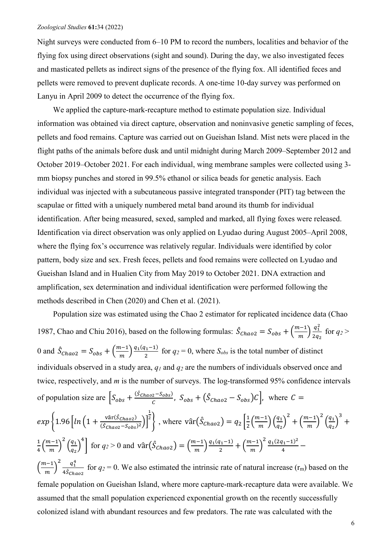Night surveys were conducted from 6–10 PM to record the numbers, localities and behavior of the flying fox using direct observations (sight and sound). During the day, we also investigated feces and masticated pellets as indirect signs of the presence of the flying fox. All identified feces and pellets were removed to prevent duplicate records. A one-time 10-day survey was performed on Lanyu in April 2009 to detect the occurrence of the flying fox.

We applied the capture-mark-recapture method to estimate population size. Individual information was obtained via direct capture, observation and noninvasive genetic sampling of feces, pellets and food remains. Capture was carried out on Gueishan Island. Mist nets were placed in the flight paths of the animals before dusk and until midnight during March 2009–September 2012 and October 2019–October 2021. For each individual, wing membrane samples were collected using 3 mm biopsy punches and stored in 99.5% ethanol or silica beads for genetic analysis. Each individual was injected with a subcutaneous passive integrated transponder (PIT) tag between the scapulae or fitted with a uniquely numbered metal band around its thumb for individual identification. After being measured, sexed, sampled and marked, all flying foxes were released. Identification via direct observation was only applied on Lyudao during August 2005–April 2008, where the flying fox's occurrence was relatively regular. Individuals were identified by color pattern, body size and sex. Fresh feces, pellets and food remains were collected on Lyudao and Gueishan Island and in Hualien City from May 2019 to October 2021. DNA extraction and amplification, sex determination and individual identification were performed following the methods described in Chen (2020) and Chen et al. (2021).

Population size was estimated using the Chao 2 estimator for replicated incidence data (Chao 1987, Chao and Chiu 2016), based on the following formulas:  $\hat{S}_{Chao2} = S_{obs} + \left(\frac{m-1}{m}\right) \frac{q_1^2}{2q_1^2}$  $rac{q_1}{2q_2}$  for  $q_2 >$ 0 and  $\hat{S}_{Chao2} = S_{obs} + \left(\frac{m-1}{m}\right) \frac{q_1(q_1-1)}{2}$  for  $q_2 = 0$ , where  $S_{obs}$  is the total number of distinct individuals observed in a study area, *q1* and *q2* are the numbers of individuals observed once and twice, respectively, and *m* is the number of surveys. The log-transformed 95% confidence intervals of population size are  $\left[S_{obs} + \frac{(S_{Chao2} - S_{obs})}{C}, S_{obs} + (\hat{S}_{Chao2} - S_{obs})C\right]$ , where  $C =$  $\exp\left\{1.96\left[ln\left(1+\frac{\text{var}(S_{Chao2})}{\hat{S}_{Chao2}-S_{obs}}\right)\right]\right\}$  $\frac{(\hat{S}_{Chao2} - S_{obs})^2}{(\hat{S}_{Chao2} - S_{obs})^2}$ 1 <sup>2</sup>, where  $\text{var}(\hat{S}_{Chao2}) = q_2 \left[ \frac{1}{2} \left( \frac{m-1}{m} \right) \left( \frac{q_1}{q_2} \right) \right]$  $\frac{1}{q_2}$ 2  $+\left(\frac{m-1}{m}\right)$ 2  $\left(\frac{q_1}{q_2}\right)$  $\frac{1}{q_2}$ 3 +  $rac{1}{4} \left( \frac{m-1}{m} \right)$ 2  $\left(\frac{q_1}{q_2}\right)$  $\frac{1}{q_2}$  $\int_{0}^{4} \left[ \text{ for } q_2 > 0 \text{ and } \text{vâr} \left( \hat{S}_{Chao2} \right) = \left( \frac{m-1}{m} \right) \frac{q_1(q_1-1)}{2} + \left( \frac{m-1}{m} \right) \right]$  $\frac{2}{1}(2q_1-1)^2$  $\frac{11}{4}$  –  $\left(\frac{m-1}{m}\right)$  $\frac{q_1^4}{\cdots}$  $4\mathcal{S}_{Chao2}$ for  $q_2 = 0$ . We also estimated the intrinsic rate of natural increase  $(r_m)$  based on the female population on Gueishan Island, where more capture-mark-recapture data were available. We assumed that the small population experienced exponential growth on the recently successfully colonized island with abundant resources and few predators. The rate was calculated with the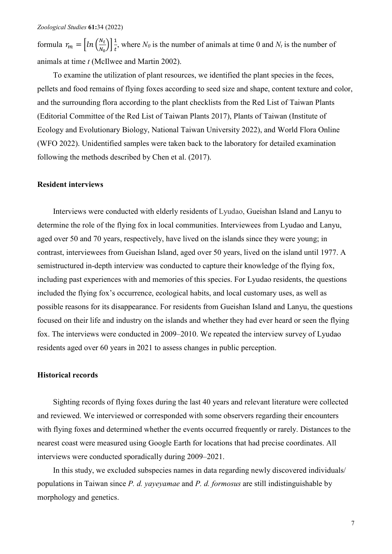formula  $r_m = \left[ ln \left( \frac{N_t}{N_0} \right) \right]$  $\left[\frac{N_t}{N_0}\right]\left[\frac{1}{t}\right]$  $\frac{1}{t}$ , where *N<sub>0</sub>* is the number of animals at time 0 and *N<sub>t</sub>* is the number of animals at time *t* (McIlwee and Martin 2002).

To examine the utilization of plant resources, we identified the plant species in the feces, pellets and food remains of flying foxes according to seed size and shape, content texture and color, and the surrounding flora according to the plant checklists from the Red List of Taiwan Plants (Editorial Committee of the Red List of Taiwan Plants 2017), Plants of Taiwan (Institute of Ecology and Evolutionary Biology, National Taiwan University 2022), and World Flora Online (WFO 2022). Unidentified samples were taken back to the laboratory for detailed examination following the methods described by Chen et al. (2017).

## **Resident interviews**

Interviews were conducted with elderly residents of Lyudao, Gueishan Island and Lanyu to determine the role of the flying fox in local communities. Interviewees from Lyudao and Lanyu, aged over 50 and 70 years, respectively, have lived on the islands since they were young; in contrast, interviewees from Gueishan Island, aged over 50 years, lived on the island until 1977. A semistructured in-depth interview was conducted to capture their knowledge of the flying fox, including past experiences with and memories of this species. For Lyudao residents, the questions included the flying fox's occurrence, ecological habits, and local customary uses, as well as possible reasons for its disappearance. For residents from Gueishan Island and Lanyu, the questions focused on their life and industry on the islands and whether they had ever heard or seen the flying fox. The interviews were conducted in 2009–2010. We repeated the interview survey of Lyudao residents aged over 60 years in 2021 to assess changes in public perception.

### **Historical records**

Sighting records of flying foxes during the last 40 years and relevant literature were collected and reviewed. We interviewed or corresponded with some observers regarding their encounters with flying foxes and determined whether the events occurred frequently or rarely. Distances to the nearest coast were measured using Google Earth for locations that had precise coordinates. All interviews were conducted sporadically during 2009–2021.

In this study, we excluded subspecies names in data regarding newly discovered individuals/ populations in Taiwan since *P. d. yayeyamae* and *P. d. formosus* are still indistinguishable by morphology and genetics.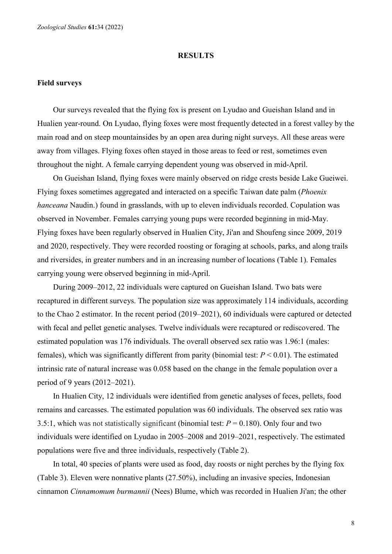#### **RESULTS**

### **Field surveys**

Our surveys revealed that the flying fox is present on Lyudao and Gueishan Island and in Hualien year-round. On Lyudao, flying foxes were most frequently detected in a forest valley by the main road and on steep mountainsides by an open area during night surveys. All these areas were away from villages. Flying foxes often stayed in those areas to feed or rest, sometimes even throughout the night. A female carrying dependent young was observed in mid-April.

On Gueishan Island, flying foxes were mainly observed on ridge crests beside Lake Gueiwei. Flying foxes sometimes aggregated and interacted on a specific Taiwan date palm (*Phoenix hanceana* Naudin.) found in grasslands, with up to eleven individuals recorded. Copulation was observed in November. Females carrying young pups were recorded beginning in mid-May. Flying foxes have been regularly observed in Hualien City, Ji'an and Shoufeng since 2009, 2019 and 2020, respectively. They were recorded roosting or foraging at schools, parks, and along trails and riversides, in greater numbers and in an increasing number of locations (Table 1). Females carrying young were observed beginning in mid-April.

During 2009–2012, 22 individuals were captured on Gueishan Island. Two bats were recaptured in different surveys. The population size was approximately 114 individuals, according to the Chao 2 estimator. In the recent period (2019–2021), 60 individuals were captured or detected with fecal and pellet genetic analyses. Twelve individuals were recaptured or rediscovered. The estimated population was 176 individuals. The overall observed sex ratio was 1.96:1 (males: females), which was significantly different from parity (binomial test: *P* < 0.01). The estimated intrinsic rate of natural increase was 0.058 based on the change in the female population over a period of 9 years (2012–2021).

In Hualien City, 12 individuals were identified from genetic analyses of feces, pellets, food remains and carcasses. The estimated population was 60 individuals. The observed sex ratio was 3.5:1, which was not statistically significant (binomial test:  $P = 0.180$ ). Only four and two individuals were identified on Lyudao in 2005–2008 and 2019–2021, respectively. The estimated populations were five and three individuals, respectively (Table 2).

In total, 40 species of plants were used as food, day roosts or night perches by the flying fox (Table 3). Eleven were nonnative plants (27.50%), including an invasive species, Indonesian cinnamon *Cinnamomum burmannii* (Nees) Blume, which was recorded in Hualien Ji'an; the other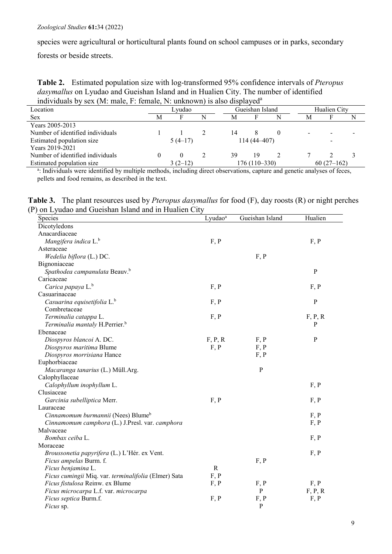species were agricultural or horticultural plants found on school campuses or in parks, secondary

forests or beside streets.

**Table 2.** Estimated population size with log-transformed 95% confidence intervals of *Pteropus dasymallus* on Lyudao and Gueishan Island and in Hualien City. The number of identified individuals by sex (M: male, F: female, N: unknown) is also displayeda

| Individuals by Sex (IVI. Indie, F. Temale, IV. UnKnown) is also displayed |              |  |                 |    |   |                                 |  |              |
|---------------------------------------------------------------------------|--------------|--|-----------------|----|---|---------------------------------|--|--------------|
| Lvudao                                                                    |              |  | Gueishan Island |    |   | Hualien City                    |  |              |
| М                                                                         |              |  | M               |    | N | М                               |  |              |
|                                                                           |              |  |                 |    |   |                                 |  |              |
|                                                                           |              |  | 14              |    |   |                                 |  |              |
|                                                                           | $5(4-17)$    |  |                 |    |   |                                 |  |              |
|                                                                           |              |  |                 |    |   |                                 |  |              |
|                                                                           | $\mathbf{0}$ |  | 39              | 19 |   |                                 |  |              |
|                                                                           | $3(2-12)$    |  |                 |    |   |                                 |  |              |
|                                                                           |              |  |                 |    |   | $114(44-407)$<br>$176(110-330)$ |  | $60(27-162)$ |

a: Individuals were identified by multiple methods, including direct observations, capture and genetic analyses of feces, pellets and food remains, as described in the text.

**Table 3.** The plant resources used by *Pteropus dasymallus* for food (F), day roosts (R) or night perches (P) on Lyudao and Gueishan Island and in Hualien City

| Species                                              | Lyudao <sup>a</sup> | Gueishan Island | Hualien      |
|------------------------------------------------------|---------------------|-----------------|--------------|
| Dicotyledons                                         |                     |                 |              |
| Anacardiaceae                                        |                     |                 |              |
| Mangifera indica L. <sup>b</sup>                     | F, P                |                 | F, P         |
| Asteraceae                                           |                     |                 |              |
| Wedelia biflora (L.) DC.                             |                     | F, P            |              |
| Bignoniaceae                                         |                     |                 |              |
| Spathodea campanulata Beauv. <sup>b</sup>            |                     |                 | $\mathbf{P}$ |
| Caricaceae                                           |                     |                 |              |
| Carica papaya L. <sup>b</sup>                        | F, P                |                 | F, P         |
| Casuarinaceae                                        |                     |                 |              |
| Casuarina equisetifolia L. <sup>b</sup>              | F, P                |                 | $\mathbf{P}$ |
| Combretaceae                                         |                     |                 |              |
| Terminalia catappa L.                                | F, P                |                 | F, P, R      |
| Terminalia mantaly H.Perrier. <sup>b</sup>           |                     |                 | $\mathbf{P}$ |
| Ebenaceae                                            |                     |                 |              |
| Diospyros blancoi A. DC.                             | F, P, R             | F, P            | ${\bf P}$    |
| Diospyros maritima Blume                             | F, P                | F, P            |              |
| Diospyros morrisiana Hance                           |                     | F, P            |              |
| Euphorbiaceae                                        |                     |                 |              |
| Macaranga tanarius (L.) Müll.Arg.                    |                     | ${\bf P}$       |              |
| Calophyllaceae                                       |                     |                 |              |
| Calophyllum inophyllum L.                            |                     |                 | F, P         |
| Clusiaceae                                           |                     |                 |              |
| Garcinia subelliptica Merr.                          | F, P                |                 | F, P         |
| Lauraceae                                            |                     |                 |              |
| Cinnamomum burmannii (Nees) Blume <sup>b</sup>       |                     |                 | F, P         |
| Cinnamomum camphora (L.) J.Presl. var. camphora      |                     |                 | F, P         |
| Malvaceae                                            |                     |                 |              |
| Bombax ceiba L.                                      |                     |                 | F, P         |
| Moraceae                                             |                     |                 |              |
| Broussonetia papyrifera (L.) L'Hér. ex Vent.         |                     |                 | F, P         |
| Ficus ampelas Burm. f.                               |                     | F, P            |              |
| Ficus benjamina L.                                   | $\mathbb{R}$        |                 |              |
| Ficus cumingii Miq. var. terminalifolia (Elmer) Sata | F, P                |                 |              |
| Ficus fistulosa Reinw. ex Blume                      | F, P                | F, P            | F, P         |
| Ficus microcarpa L.f. var. microcarpa                |                     | ${\bf P}$       | F, P, R      |
| Ficus septica Burm.f.                                | F, P                | F, P            | F, P         |
| Ficus sp.                                            |                     | $\mathbf{P}$    |              |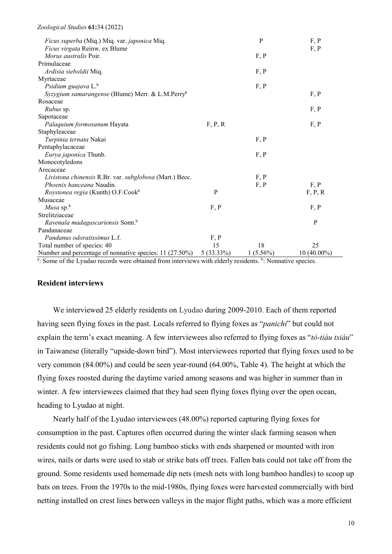| <i>Ficus superba</i> (Miq.) Miq. var. <i>japonica</i> Miq.   |            | $\mathbf P$ | F, P          |
|--------------------------------------------------------------|------------|-------------|---------------|
| Ficus virgata Reinw. ex Blume                                |            |             | F, P          |
| <i>Morus australis</i> Poir.                                 |            | F, P        |               |
| Primulaceae                                                  |            |             |               |
| Ardisia sieboldii Miq.                                       |            | F, P        |               |
| Myrtaceae                                                    |            |             |               |
| Psidium guajava L. <sup>b</sup>                              |            | F, P        |               |
| Syzygium samarangense (Blume) Merr. & L.M.Perry <sup>b</sup> |            |             | F, P          |
| Rosaceae                                                     |            |             |               |
| <i>Rubus</i> sp.                                             |            |             | F, P          |
| Sapotaceae                                                   |            |             |               |
| Palaquium formosanum Hayata                                  | F, P, R    |             | F, P          |
| Staphyleaceae                                                |            |             |               |
| Turpinia ternata Nakai                                       |            | F, P        |               |
| Pentaphylacaceae                                             |            |             |               |
| Eurya japonica Thunb.                                        |            | F, P        |               |
| Monocotyledons                                               |            |             |               |
| Arecaceae                                                    |            |             |               |
| Livistona chinensis R.Br. var. subglobosa (Mart.) Becc.      |            | F, P        |               |
| <i>Phoenix hanceana</i> Naudin.                              |            | F, P        | F, P          |
| Roystonea regia (Kunth) O.F.Cook <sup>b</sup>                | P          |             | F, P, R       |
| Musaceae                                                     |            |             |               |
| <i>Musa</i> sp. $b$                                          | F, P       |             | F, P          |
| Strelitziaceae                                               |            |             |               |
| Ravenala madagascariensis Sonn. <sup>b</sup>                 |            |             | P             |
| Pandanaceae                                                  |            |             |               |
| Pandanus odoratissimus L.f.                                  | F, P       |             |               |
| Total number of species: 40                                  | 15         | 18          | 25            |
| Number and percentage of nonnative species: 11 (27.50%)      | 5 (33.33%) | $1(5.56\%)$ | $10(40.00\%)$ |

a: Some of the Lyudao records were obtained from interviews with elderly residents. **b**: Nonnative species.

### **Resident interviews**

We interviewed 25 elderly residents on Lyudao during 2009-2010. Each of them reported having seen flying foxes in the past. Locals referred to flying foxes as "*panichi*" but could not explain the term's exact meaning. A few interviewees also referred to flying foxes as "*tò-tiàu tsiáu*" in Taiwanese (literally "upside-down bird"). Most interviewees reported that flying foxes used to be very common (84.00%) and could be seen year-round (64.00%, Table 4). The height at which the flying foxes roosted during the daytime varied among seasons and was higher in summer than in winter. A few interviewees claimed that they had seen flying foxes flying over the open ocean, heading to Lyudao at night.

Nearly half of the Lyudao interviewees (48.00%) reported capturing flying foxes for consumption in the past. Captures often occurred during the winter slack farming season when residents could not go fishing. Long bamboo sticks with ends sharpened or mounted with iron wires, nails or darts were used to stab or strike bats off trees. Fallen bats could not take off from the ground. Some residents used homemade dip nets (mesh nets with long bamboo handles) to scoop up bats on trees. From the 1970s to the mid-1980s, flying foxes were harvested commercially with bird netting installed on crest lines between valleys in the major flight paths, which was a more efficient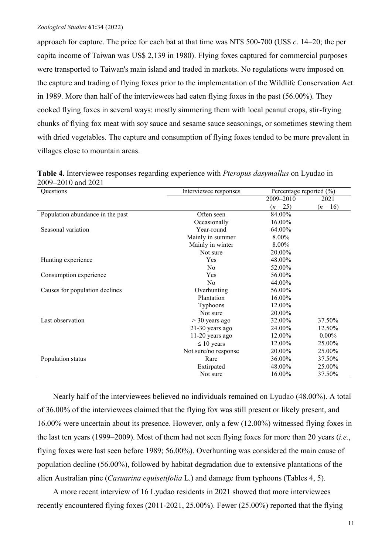approach for capture. The price for each bat at that time was NT\$ 500-700 (US\$ *c*. 14–20; the per capita income of Taiwan was US\$ 2,139 in 1980). Flying foxes captured for commercial purposes were transported to Taiwan's main island and traded in markets. No regulations were imposed on the capture and trading of flying foxes prior to the implementation of the Wildlife Conservation Act in 1989. More than half of the interviewees had eaten flying foxes in the past (56.00%). They cooked flying foxes in several ways: mostly simmering them with local peanut crops, stir-frying chunks of flying fox meat with soy sauce and sesame sauce seasonings, or sometimes stewing them with dried vegetables. The capture and consumption of flying foxes tended to be more prevalent in villages close to mountain areas.

| Questions                        | Interviewee responses | Percentage reported (%) |          |  |
|----------------------------------|-----------------------|-------------------------|----------|--|
|                                  |                       | 2009-2010               | 2021     |  |
|                                  |                       | $(n = 25)$              | $(n=16)$ |  |
| Population abundance in the past | Often seen            | 84.00%                  |          |  |
|                                  | Occasionally          | 16.00%                  |          |  |
| Seasonal variation               | Year-round            | 64.00%                  |          |  |
|                                  | Mainly in summer      | 8.00%                   |          |  |
|                                  | Mainly in winter      | 8.00%                   |          |  |
|                                  | Not sure              | 20.00%                  |          |  |
| Hunting experience               | Yes                   | 48.00%                  |          |  |
|                                  | N <sub>o</sub>        | 52.00%                  |          |  |
| Consumption experience           | 56.00%<br><b>Yes</b>  |                         |          |  |
|                                  | N <sub>o</sub>        | 44.00%                  |          |  |
| Causes for population declines   | Overhunting           | 56.00%                  |          |  |
|                                  | Plantation            | 16.00%                  |          |  |
|                                  | Typhoons              | 12.00%                  |          |  |
|                                  | Not sure              | 20.00%                  |          |  |
| Last observation                 | $>$ 30 years ago      | 32.00%                  | 37.50%   |  |
|                                  | $21-30$ years ago     | 24.00%                  | 12.50%   |  |
|                                  | $11-20$ years ago     | 12.00%                  | $0.00\%$ |  |
|                                  | $\leq 10$ years       | 12.00%                  | 25.00%   |  |
|                                  | Not sure/no response  | 20.00%                  | 25.00%   |  |
| Population status                | Rare                  | 36.00%                  | 37.50%   |  |
|                                  | Extirpated            | 48.00%                  | 25.00%   |  |
|                                  | Not sure              | 16.00%                  | 37.50%   |  |

**Table 4.** Interviewee responses regarding experience with *Pteropus dasymallus* on Lyudao in 2009–2010 and 2021

Nearly half of the interviewees believed no individuals remained on Lyudao (48.00%). A total of 36.00% of the interviewees claimed that the flying fox was still present or likely present, and 16.00% were uncertain about its presence. However, only a few (12.00%) witnessed flying foxes in the last ten years (1999–2009). Most of them had not seen flying foxes for more than 20 years (*i.e.*, flying foxes were last seen before 1989; 56.00%). Overhunting was considered the main cause of population decline (56.00%), followed by habitat degradation due to extensive plantations of the alien Australian pine (*Casuarina equisetifolia* L.) and damage from typhoons (Tables 4, 5).

A more recent interview of 16 Lyudao residents in 2021 showed that more interviewees recently encountered flying foxes (2011-2021, 25.00%). Fewer (25.00%) reported that the flying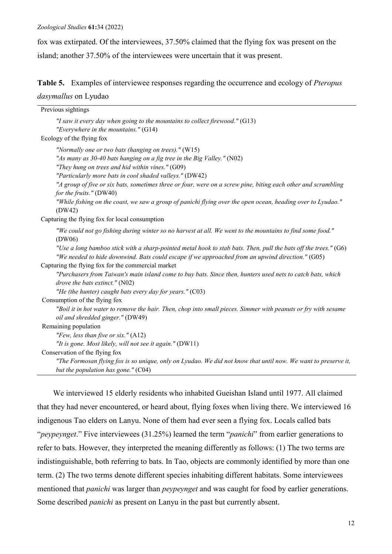fox was extirpated. Of the interviewees, 37.50% claimed that the flying fox was present on the island; another 37.50% of the interviewees were uncertain that it was present.

**Table 5.** Examples of interviewee responses regarding the occurrence and ecology of *Pteropus dasymallus* on Lyudao

| Previous sightings                                                                                                                                                                                                                                                                                                                                                                                                                                                                                                 |
|--------------------------------------------------------------------------------------------------------------------------------------------------------------------------------------------------------------------------------------------------------------------------------------------------------------------------------------------------------------------------------------------------------------------------------------------------------------------------------------------------------------------|
| "I saw it every day when going to the mountains to collect firewood." (G13)<br>"Everywhere in the mountains." $(G14)$                                                                                                                                                                                                                                                                                                                                                                                              |
| Ecology of the flying fox                                                                                                                                                                                                                                                                                                                                                                                                                                                                                          |
| "Normally one or two bats (hanging on trees)." (W15)<br>"As many as 30-40 bats hanging on a fig tree in the Big Valley." (N02)<br>"They hung on trees and hid within vines." (G09)<br>"Particularly more bats in cool shaded valleys." (DW42)<br>"A group of five or six bats, sometimes three or four, were on a screw pine, biting each other and scrambling<br>for the fruits." (DW40)<br>"While fishing on the coast, we saw a group of panichi flying over the open ocean, heading over to Lyudao."<br>(DW42) |
| Capturing the flying fox for local consumption                                                                                                                                                                                                                                                                                                                                                                                                                                                                     |
| "We could not go fishing during winter so no harvest at all. We went to the mountains to find some food."<br>(DW06)<br>"Use a long bamboo stick with a sharp-pointed metal hook to stab bats. Then, pull the bats off the trees." (G6)<br>"We needed to hide downwind. Bats could escape if we approached from an upwind direction." (G05)                                                                                                                                                                         |
| Capturing the flying fox for the commercial market                                                                                                                                                                                                                                                                                                                                                                                                                                                                 |
| "Purchasers from Taiwan's main island come to buy bats. Since then, hunters used nets to catch bats, which<br>drove the bats extinct." $(N02)$                                                                                                                                                                                                                                                                                                                                                                     |
| "He (the hunter) caught bats every day for years." $(C03)$                                                                                                                                                                                                                                                                                                                                                                                                                                                         |
| Consumption of the flying fox<br>"Boil it in hot water to remove the hair. Then, chop into small pieces. Simmer with peanuts or fry with sesame<br>oil and shredded ginger." (DW49)                                                                                                                                                                                                                                                                                                                                |
| Remaining population                                                                                                                                                                                                                                                                                                                                                                                                                                                                                               |
| "Few, less than five or six." (A12)<br>"It is gone. Most likely, will not see it again." (DW11)                                                                                                                                                                                                                                                                                                                                                                                                                    |
| Conservation of the flying fox                                                                                                                                                                                                                                                                                                                                                                                                                                                                                     |
| "The Formosan flying fox is so unique, only on Lyudao. We did not know that until now. We want to preserve it,<br>but the population has gone." (C04)                                                                                                                                                                                                                                                                                                                                                              |

We interviewed 15 elderly residents who inhabited Gueishan Island until 1977. All claimed that they had never encountered, or heard about, flying foxes when living there. We interviewed 16 indigenous Tao elders on Lanyu. None of them had ever seen a flying fox. Locals called bats "*peypeynget*." Five interviewees (31.25%) learned the term "*panichi*" from earlier generations to refer to bats. However, they interpreted the meaning differently as follows: (1) The two terms are indistinguishable, both referring to bats. In Tao, objects are commonly identified by more than one term. (2) The two terms denote different species inhabiting different habitats. Some interviewees mentioned that *panichi* was larger than *peypeynget* and was caught for food by earlier generations. Some described *panichi* as present on Lanyu in the past but currently absent.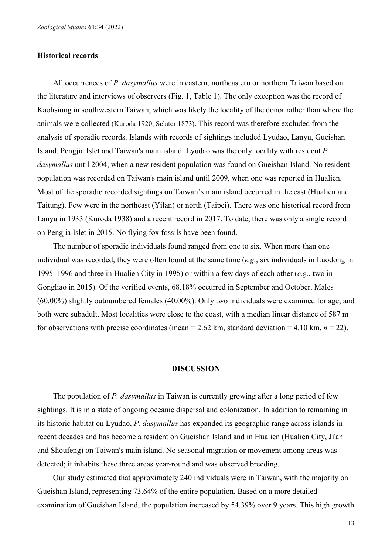### **Historical records**

All occurrences of *P. dasymallus* were in eastern, northeastern or northern Taiwan based on the literature and interviews of observers (Fig. 1, Table 1). The only exception was the record of Kaohsiung in southwestern Taiwan, which was likely the locality of the donor rather than where the animals were collected (Kuroda 1920, Sclater 1873). This record was therefore excluded from the analysis of sporadic records. Islands with records of sightings included Lyudao, Lanyu, Gueishan Island, Pengjia Islet and Taiwan's main island. Lyudao was the only locality with resident *P. dasymallus* until 2004, when a new resident population was found on Gueishan Island. No resident population was recorded on Taiwan's main island until 2009, when one was reported in Hualien. Most of the sporadic recorded sightings on Taiwan's main island occurred in the east (Hualien and Taitung). Few were in the northeast (Yilan) or north (Taipei). There was one historical record from Lanyu in 1933 (Kuroda 1938) and a recent record in 2017. To date, there was only a single record on Pengjia Islet in 2015. No flying fox fossils have been found.

The number of sporadic individuals found ranged from one to six. When more than one individual was recorded, they were often found at the same time (*e.g.*, six individuals in Luodong in 1995–1996 and three in Hualien City in 1995) or within a few days of each other (*e.g.*, two in Gongliao in 2015). Of the verified events, 68.18% occurred in September and October. Males (60.00%) slightly outnumbered females (40.00%). Only two individuals were examined for age, and both were subadult. Most localities were close to the coast, with a median linear distance of 587 m for observations with precise coordinates (mean  $= 2.62$  km, standard deviation  $= 4.10$  km,  $n = 22$ ).

### **DISCUSSION**

The population of *P. dasymallus* in Taiwan is currently growing after a long period of few sightings. It is in a state of ongoing oceanic dispersal and colonization. In addition to remaining in its historic habitat on Lyudao, *P. dasymallus* has expanded its geographic range across islands in recent decades and has become a resident on Gueishan Island and in Hualien (Hualien City, Ji'an and Shoufeng) on Taiwan's main island. No seasonal migration or movement among areas was detected; it inhabits these three areas year-round and was observed breeding.

Our study estimated that approximately 240 individuals were in Taiwan, with the majority on Gueishan Island, representing 73.64% of the entire population. Based on a more detailed examination of Gueishan Island, the population increased by 54.39% over 9 years. This high growth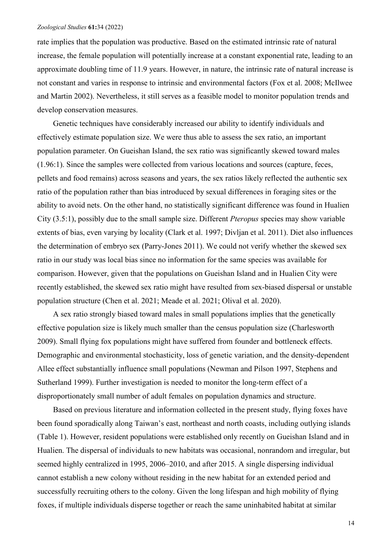rate implies that the population was productive. Based on the estimated intrinsic rate of natural increase, the female population will potentially increase at a constant exponential rate, leading to an approximate doubling time of 11.9 years. However, in nature, the intrinsic rate of natural increase is not constant and varies in response to intrinsic and environmental factors (Fox et al. 2008; McIlwee and Martin 2002). Nevertheless, it still serves as a feasible model to monitor population trends and develop conservation measures.

Genetic techniques have considerably increased our ability to identify individuals and effectively estimate population size. We were thus able to assess the sex ratio, an important population parameter. On Gueishan Island, the sex ratio was significantly skewed toward males (1.96:1). Since the samples were collected from various locations and sources (capture, feces, pellets and food remains) across seasons and years, the sex ratios likely reflected the authentic sex ratio of the population rather than bias introduced by sexual differences in foraging sites or the ability to avoid nets. On the other hand, no statistically significant difference was found in Hualien City (3.5:1), possibly due to the small sample size. Different *Pteropus* species may show variable extents of bias, even varying by locality (Clark et al. 1997; Divljan et al. 2011). Diet also influences the determination of embryo sex (Parry-Jones 2011). We could not verify whether the skewed sex ratio in our study was local bias since no information for the same species was available for comparison. However, given that the populations on Gueishan Island and in Hualien City were recently established, the skewed sex ratio might have resulted from sex-biased dispersal or unstable population structure (Chen et al. 2021; Meade et al. 2021; Olival et al. 2020).

A sex ratio strongly biased toward males in small populations implies that the genetically effective population size is likely much smaller than the census population size (Charlesworth 2009). Small flying fox populations might have suffered from founder and bottleneck effects. Demographic and environmental stochasticity, loss of genetic variation, and the density-dependent Allee effect substantially influence small populations (Newman and Pilson 1997, Stephens and Sutherland 1999). Further investigation is needed to monitor the long-term effect of a disproportionately small number of adult females on population dynamics and structure.

Based on previous literature and information collected in the present study, flying foxes have been found sporadically along Taiwan's east, northeast and north coasts, including outlying islands (Table 1). However, resident populations were established only recently on Gueishan Island and in Hualien. The dispersal of individuals to new habitats was occasional, nonrandom and irregular, but seemed highly centralized in 1995, 2006–2010, and after 2015. A single dispersing individual cannot establish a new colony without residing in the new habitat for an extended period and successfully recruiting others to the colony. Given the long lifespan and high mobility of flying foxes, if multiple individuals disperse together or reach the same uninhabited habitat at similar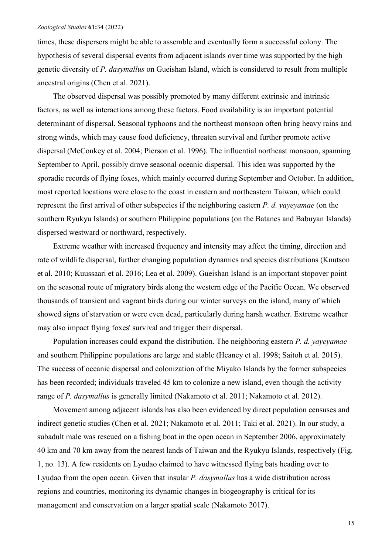times, these dispersers might be able to assemble and eventually form a successful colony. The hypothesis of several dispersal events from adjacent islands over time was supported by the high genetic diversity of *P. dasymallus* on Gueishan Island, which is considered to result from multiple ancestral origins (Chen et al. 2021).

The observed dispersal was possibly promoted by many different extrinsic and intrinsic factors, as well as interactions among these factors. Food availability is an important potential determinant of dispersal. Seasonal typhoons and the northeast monsoon often bring heavy rains and strong winds, which may cause food deficiency, threaten survival and further promote active dispersal (McConkey et al. 2004; Pierson et al. 1996). The influential northeast monsoon, spanning September to April, possibly drove seasonal oceanic dispersal. This idea was supported by the sporadic records of flying foxes, which mainly occurred during September and October. In addition, most reported locations were close to the coast in eastern and northeastern Taiwan, which could represent the first arrival of other subspecies if the neighboring eastern *P. d. yayeyamae* (on the southern Ryukyu Islands) or southern Philippine populations (on the Batanes and Babuyan Islands) dispersed westward or northward, respectively.

Extreme weather with increased frequency and intensity may affect the timing, direction and rate of wildlife dispersal, further changing population dynamics and species distributions (Knutson et al. 2010; Kuussaari et al. 2016; Lea et al. 2009). Gueishan Island is an important stopover point on the seasonal route of migratory birds along the western edge of the Pacific Ocean. We observed thousands of transient and vagrant birds during our winter surveys on the island, many of which showed signs of starvation or were even dead, particularly during harsh weather. Extreme weather may also impact flying foxes' survival and trigger their dispersal.

Population increases could expand the distribution. The neighboring eastern *P. d. yayeyamae* and southern Philippine populations are large and stable (Heaney et al. 1998; Saitoh et al. 2015). The success of oceanic dispersal and colonization of the Miyako Islands by the former subspecies has been recorded; individuals traveled 45 km to colonize a new island, even though the activity range of *P. dasymallus* is generally limited (Nakamoto et al. 2011; Nakamoto et al. 2012).

Movement among adjacent islands has also been evidenced by direct population censuses and indirect genetic studies (Chen et al. 2021; Nakamoto et al. 2011; Taki et al. 2021). In our study, a subadult male was rescued on a fishing boat in the open ocean in September 2006, approximately 40 km and 70 km away from the nearest lands of Taiwan and the Ryukyu Islands, respectively (Fig. 1, no. 13). A few residents on Lyudao claimed to have witnessed flying bats heading over to Lyudao from the open ocean. Given that insular *P. dasymallus* has a wide distribution across regions and countries, monitoring its dynamic changes in biogeography is critical for its management and conservation on a larger spatial scale (Nakamoto 2017).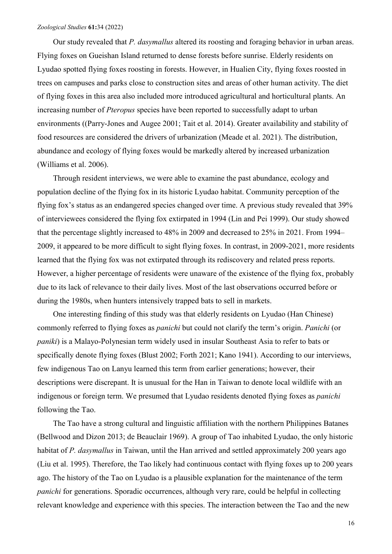Our study revealed that *P. dasymallus* altered its roosting and foraging behavior in urban areas. Flying foxes on Gueishan Island returned to dense forests before sunrise. Elderly residents on Lyudao spotted flying foxes roosting in forests. However, in Hualien City, flying foxes roosted in trees on campuses and parks close to construction sites and areas of other human activity. The diet of flying foxes in this area also included more introduced agricultural and horticultural plants. An increasing number of *Pteropus* species have been reported to successfully adapt to urban environments ((Parry‐Jones and Augee 2001; Tait et al. 2014). Greater availability and stability of food resources are considered the drivers of urbanization (Meade et al. 2021). The distribution, abundance and ecology of flying foxes would be markedly altered by increased urbanization (Williams et al. 2006).

Through resident interviews, we were able to examine the past abundance, ecology and population decline of the flying fox in its historic Lyudao habitat. Community perception of the flying fox's status as an endangered species changed over time. A previous study revealed that 39% of interviewees considered the flying fox extirpated in 1994 (Lin and Pei 1999). Our study showed that the percentage slightly increased to 48% in 2009 and decreased to 25% in 2021. From 1994– 2009, it appeared to be more difficult to sight flying foxes. In contrast, in 2009-2021, more residents learned that the flying fox was not extirpated through its rediscovery and related press reports. However, a higher percentage of residents were unaware of the existence of the flying fox, probably due to its lack of relevance to their daily lives. Most of the last observations occurred before or during the 1980s, when hunters intensively trapped bats to sell in markets.

One interesting finding of this study was that elderly residents on Lyudao (Han Chinese) commonly referred to flying foxes as *panichi* but could not clarify the term's origin. *Panichi* (or *paniki*) is a Malayo-Polynesian term widely used in insular Southeast Asia to refer to bats or specifically denote flying foxes (Blust 2002; Forth 2021; Kano 1941). According to our interviews, few indigenous Tao on Lanyu learned this term from earlier generations; however, their descriptions were discrepant. It is unusual for the Han in Taiwan to denote local wildlife with an indigenous or foreign term. We presumed that Lyudao residents denoted flying foxes as *panichi* following the Tao.

The Tao have a strong cultural and linguistic affiliation with the northern Philippines Batanes (Bellwood and Dizon 2013; de Beauclair 1969). A group of Tao inhabited Lyudao, the only historic habitat of *P. dasymallus* in Taiwan, until the Han arrived and settled approximately 200 years ago (Liu et al. 1995). Therefore, the Tao likely had continuous contact with flying foxes up to 200 years ago. The history of the Tao on Lyudao is a plausible explanation for the maintenance of the term *panichi* for generations. Sporadic occurrences, although very rare, could be helpful in collecting relevant knowledge and experience with this species. The interaction between the Tao and the new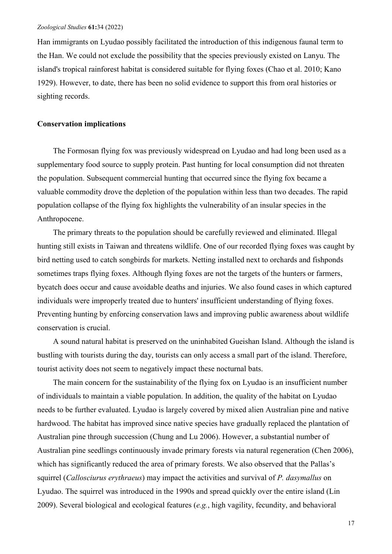Han immigrants on Lyudao possibly facilitated the introduction of this indigenous faunal term to the Han. We could not exclude the possibility that the species previously existed on Lanyu. The island's tropical rainforest habitat is considered suitable for flying foxes (Chao et al. 2010; Kano 1929). However, to date, there has been no solid evidence to support this from oral histories or sighting records.

### **Conservation implications**

The Formosan flying fox was previously widespread on Lyudao and had long been used as a supplementary food source to supply protein. Past hunting for local consumption did not threaten the population. Subsequent commercial hunting that occurred since the flying fox became a valuable commodity drove the depletion of the population within less than two decades. The rapid population collapse of the flying fox highlights the vulnerability of an insular species in the Anthropocene.

The primary threats to the population should be carefully reviewed and eliminated. Illegal hunting still exists in Taiwan and threatens wildlife. One of our recorded flying foxes was caught by bird netting used to catch songbirds for markets. Netting installed next to orchards and fishponds sometimes traps flying foxes. Although flying foxes are not the targets of the hunters or farmers, bycatch does occur and cause avoidable deaths and injuries. We also found cases in which captured individuals were improperly treated due to hunters' insufficient understanding of flying foxes. Preventing hunting by enforcing conservation laws and improving public awareness about wildlife conservation is crucial.

A sound natural habitat is preserved on the uninhabited Gueishan Island. Although the island is bustling with tourists during the day, tourists can only access a small part of the island. Therefore, tourist activity does not seem to negatively impact these nocturnal bats.

The main concern for the sustainability of the flying fox on Lyudao is an insufficient number of individuals to maintain a viable population. In addition, the quality of the habitat on Lyudao needs to be further evaluated. Lyudao is largely covered by mixed alien Australian pine and native hardwood. The habitat has improved since native species have gradually replaced the plantation of Australian pine through succession (Chung and Lu 2006). However, a substantial number of Australian pine seedlings continuously invade primary forests via natural regeneration (Chen 2006), which has significantly reduced the area of primary forests. We also observed that the Pallas's squirrel (*Callosciurus erythraeus*) may impact the activities and survival of *P. dasymallus* on Lyudao. The squirrel was introduced in the 1990s and spread quickly over the entire island (Lin 2009). Several biological and ecological features (*e.g.*, high vagility, fecundity, and behavioral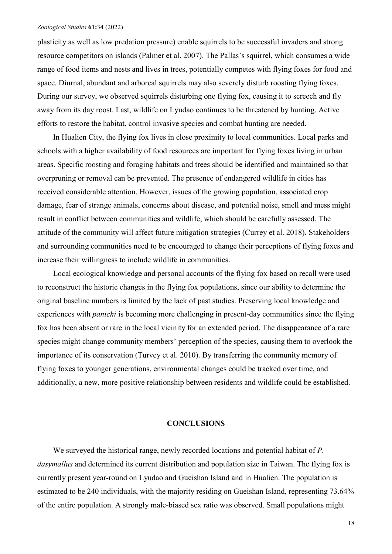plasticity as well as low predation pressure) enable squirrels to be successful invaders and strong resource competitors on islands (Palmer et al. 2007). The Pallas's squirrel, which consumes a wide range of food items and nests and lives in trees, potentially competes with flying foxes for food and space. Diurnal, abundant and arboreal squirrels may also severely disturb roosting flying foxes. During our survey, we observed squirrels disturbing one flying fox, causing it to screech and fly away from its day roost. Last, wildlife on Lyudao continues to be threatened by hunting. Active efforts to restore the habitat, control invasive species and combat hunting are needed.

In Hualien City, the flying fox lives in close proximity to local communities. Local parks and schools with a higher availability of food resources are important for flying foxes living in urban areas. Specific roosting and foraging habitats and trees should be identified and maintained so that overpruning or removal can be prevented. The presence of endangered wildlife in cities has received considerable attention. However, issues of the growing population, associated crop damage, fear of strange animals, concerns about disease, and potential noise, smell and mess might result in conflict between communities and wildlife, which should be carefully assessed. The attitude of the community will affect future mitigation strategies (Currey et al. 2018). Stakeholders and surrounding communities need to be encouraged to change their perceptions of flying foxes and increase their willingness to include wildlife in communities.

Local ecological knowledge and personal accounts of the flying fox based on recall were used to reconstruct the historic changes in the flying fox populations, since our ability to determine the original baseline numbers is limited by the lack of past studies. Preserving local knowledge and experiences with *panichi* is becoming more challenging in present-day communities since the flying fox has been absent or rare in the local vicinity for an extended period. The disappearance of a rare species might change community members' perception of the species, causing them to overlook the importance of its conservation (Turvey et al. 2010). By transferring the community memory of flying foxes to younger generations, environmental changes could be tracked over time, and additionally, a new, more positive relationship between residents and wildlife could be established.

### **CONCLUSIONS**

We surveyed the historical range, newly recorded locations and potential habitat of *P. dasymallus* and determined its current distribution and population size in Taiwan. The flying fox is currently present year-round on Lyudao and Gueishan Island and in Hualien. The population is estimated to be 240 individuals, with the majority residing on Gueishan Island, representing 73.64% of the entire population. A strongly male-biased sex ratio was observed. Small populations might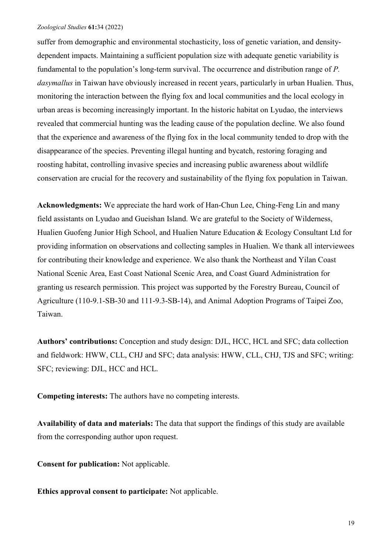suffer from demographic and environmental stochasticity, loss of genetic variation, and densitydependent impacts. Maintaining a sufficient population size with adequate genetic variability is fundamental to the population's long-term survival. The occurrence and distribution range of *P. dasymallus* in Taiwan have obviously increased in recent years, particularly in urban Hualien. Thus, monitoring the interaction between the flying fox and local communities and the local ecology in urban areas is becoming increasingly important. In the historic habitat on Lyudao, the interviews revealed that commercial hunting was the leading cause of the population decline. We also found that the experience and awareness of the flying fox in the local community tended to drop with the disappearance of the species. Preventing illegal hunting and bycatch, restoring foraging and roosting habitat, controlling invasive species and increasing public awareness about wildlife conservation are crucial for the recovery and sustainability of the flying fox population in Taiwan.

**Acknowledgments:** We appreciate the hard work of Han-Chun Lee, Ching-Feng Lin and many field assistants on Lyudao and Gueishan Island. We are grateful to the Society of Wilderness, Hualien Guofeng Junior High School, and Hualien Nature Education & Ecology Consultant Ltd for providing information on observations and collecting samples in Hualien. We thank all interviewees for contributing their knowledge and experience. We also thank the Northeast and Yilan Coast National Scenic Area, East Coast National Scenic Area, and Coast Guard Administration for granting us research permission. This project was supported by the Forestry Bureau, Council of Agriculture (110-9.1-SB-30 and 111-9.3-SB-14), and Animal Adoption Programs of Taipei Zoo, Taiwan.

**Authors' contributions:** Conception and study design: DJL, HCC, HCL and SFC; data collection and fieldwork: HWW, CLL, CHJ and SFC; data analysis: HWW, CLL, CHJ, TJS and SFC; writing: SFC; reviewing: DJL, HCC and HCL.

**Competing interests:** The authors have no competing interests.

**Availability of data and materials:** The data that support the findings of this study are available from the corresponding author upon request.

**Consent for publication:** Not applicable.

**Ethics approval consent to participate:** Not applicable.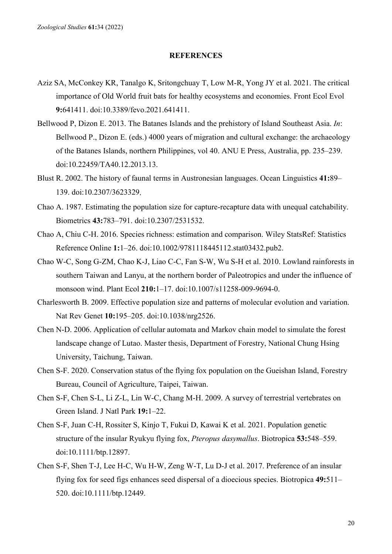## **REFERENCES**

- Aziz SA, McConkey KR, Tanalgo K, Sritongchuay T, Low M-R, Yong JY et al. 2021. The critical importance of Old World fruit bats for healthy ecosystems and economies. Front Ecol Evol **9:**641411. doi:10.3389/fevo.2021.641411.
- Bellwood P, Dizon E. 2013. The Batanes Islands and the prehistory of Island Southeast Asia. *In*: Bellwood P., Dizon E. (eds.) 4000 years of migration and cultural exchange: the archaeology of the Batanes Islands, northern Philippines, vol 40. ANU E Press, Australia, pp. 235–239. doi:10.22459/TA40.12.2013.13.
- Blust R. 2002. The history of faunal terms in Austronesian languages. Ocean Linguistics **41:**89– 139. doi:10.2307/3623329.
- Chao A. 1987. Estimating the population size for capture-recapture data with unequal catchability. Biometrics **43:**783–791. doi:10.2307/2531532.
- Chao A, Chiu C-H. 2016. Species richness: estimation and comparison. Wiley StatsRef: Statistics Reference Online **1:**1–26. doi:10.1002/9781118445112.stat03432.pub2.
- Chao W-C, Song G-ZM, Chao K-J, Liao C-C, Fan S-W, Wu S-H et al. 2010. Lowland rainforests in southern Taiwan and Lanyu, at the northern border of Paleotropics and under the influence of monsoon wind. Plant Ecol **210:**1–17. doi:10.1007/s11258-009-9694-0.
- Charlesworth B. 2009. Effective population size and patterns of molecular evolution and variation. Nat Rev Genet **10:**195–205. doi:10.1038/nrg2526.
- Chen N-D. 2006. Application of cellular automata and Markov chain model to simulate the forest landscape change of Lutao. Master thesis, Department of Forestry, National Chung Hsing University, Taichung, Taiwan.
- Chen S-F. 2020. Conservation status of the flying fox population on the Gueishan Island, Forestry Bureau, Council of Agriculture, Taipei, Taiwan.
- Chen S-F, Chen S-L, Li Z-L, Lin W-C, Chang M-H. 2009. A survey of terrestrial vertebrates on Green Island. J Natl Park **19:**1–22.
- Chen S-F, Juan C-H, Rossiter S, Kinjo T, Fukui D, Kawai K et al. 2021. Population genetic structure of the insular Ryukyu flying fox, *Pteropus dasymallus*. Biotropica **53:**548–559. doi:10.1111/btp.12897.
- Chen S-F, Shen T-J, Lee H-C, Wu H-W, Zeng W-T, Lu D-J et al. 2017. Preference of an insular flying fox for seed figs enhances seed dispersal of a dioecious species. Biotropica **49:**511– 520. doi:10.1111/btp.12449.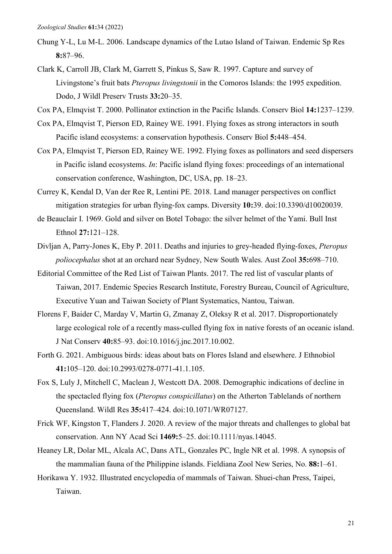- Chung Y-L, Lu M-L. 2006. Landscape dynamics of the Lutao Island of Taiwan. Endemic Sp Res **8:**87–96.
- Clark K, Carroll JB, Clark M, Garrett S, Pinkus S, Saw R. 1997. Capture and survey of Livingstone's fruit bats *Pteropus livingstonii* in the Comoros Islands: the 1995 expedition. Dodo, J Wildl Preserv Trusts **33:**20–35.
- Cox PA, Elmqvist T. 2000. Pollinator extinction in the Pacific Islands. Conserv Biol **14:**1237–1239.
- Cox PA, Elmqvist T, Pierson ED, Rainey WE. 1991. Flying foxes as strong interactors in south Pacific island ecosystems: a conservation hypothesis. Conserv Biol **5:**448–454.
- Cox PA, Elmqvist T, Pierson ED, Rainey WE. 1992. Flying foxes as pollinators and seed dispersers in Pacific island ecosystems. *In*: Pacific island flying foxes: proceedings of an international conservation conference, Washington, DC, USA, pp. 18–23.
- Currey K, Kendal D, Van der Ree R, Lentini PE. 2018. Land manager perspectives on conflict mitigation strategies for urban flying-fox camps. Diversity **10:**39. doi:10.3390/d10020039.
- de Beauclair I. 1969. Gold and silver on Botel Tobago: the silver helmet of the Yami. Bull Inst Ethnol **27:**121–128.
- Divljan A, Parry-Jones K, Eby P. 2011. Deaths and injuries to grey-headed flying-foxes, *Pteropus poliocephalus* shot at an orchard near Sydney, New South Wales. Aust Zool **35:**698–710.
- Editorial Committee of the Red List of Taiwan Plants. 2017. The red list of vascular plants of Taiwan, 2017. Endemic Species Research Institute, Forestry Bureau, Council of Agriculture, Executive Yuan and Taiwan Society of Plant Systematics, Nantou, Taiwan.
- Florens F, Baider C, Marday V, Martin G, Zmanay Z, Oleksy R et al. 2017. Disproportionately large ecological role of a recently mass-culled flying fox in native forests of an oceanic island. J Nat Conserv **40:**85–93. doi:10.1016/j.jnc.2017.10.002.
- Forth G. 2021. Ambiguous birds: ideas about bats on Flores Island and elsewhere. J Ethnobiol **41:**105–120. doi:10.2993/0278-0771-41.1.105.
- Fox S, Luly J, Mitchell C, Maclean J, Westcott DA. 2008. Demographic indications of decline in the spectacled flying fox (*Pteropus conspicillatus*) on the Atherton Tablelands of northern Queensland. Wildl Res **35:**417–424. doi:10.1071/WR07127.
- Frick WF, Kingston T, Flanders J. 2020. A review of the major threats and challenges to global bat conservation. Ann NY Acad Sci **1469:**5–25. doi:10.1111/nyas.14045.
- Heaney LR, Dolar ML, Alcala AC, Dans ATL, Gonzales PC, Ingle NR et al. 1998. A synopsis of the mammalian fauna of the Philippine islands. Fieldiana Zool New Series, No. **88:**1–61.
- Horikawa Y. 1932. Illustrated encyclopedia of mammals of Taiwan. Shuei-chan Press, Taipei, Taiwan.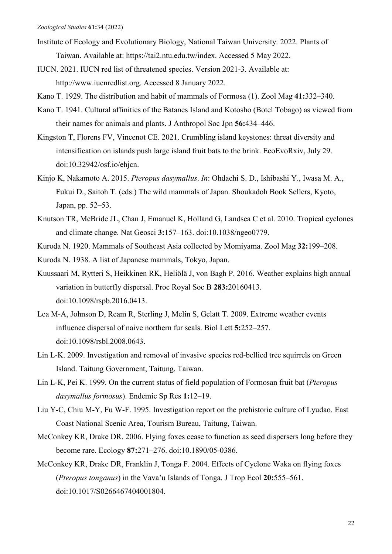- Institute of Ecology and Evolutionary Biology, National Taiwan University. 2022. Plants of Taiwan. Available at: https://tai2.ntu.edu.tw/index. Accessed 5 May 2022.
- IUCN. 2021. IUCN red list of threatened species. Version 2021-3. Available at: http://www.iucnredlist.org. Accessed 8 January 2022.
- Kano T. 1929. The distribution and habit of mammals of Formosa (1). Zool Mag **41:**332–340.
- Kano T. 1941. Cultural affinities of the Batanes Island and Kotosho (Botel Tobago) as viewed from their names for animals and plants. J Anthropol Soc Jpn **56:**434–446.
- Kingston T, Florens FV, Vincenot CE. 2021. Crumbling island keystones: threat diversity and intensification on islands push large island fruit bats to the brink. EcoEvoRxiv, July 29. doi:10.32942/osf.io/ehjcn.
- Kinjo K, Nakamoto A. 2015. *Pteropus dasymallus*. *In*: Ohdachi S. D., Ishibashi Y., Iwasa M. A., Fukui D., Saitoh T. (eds.) The wild mammals of Japan. Shoukadoh Book Sellers, Kyoto, Japan, pp. 52–53.
- Knutson TR, McBride JL, Chan J, Emanuel K, Holland G, Landsea C et al. 2010. Tropical cyclones and climate change. Nat Geosci **3:**157–163. doi:10.1038/ngeo0779.
- Kuroda N. 1920. Mammals of Southeast Asia collected by Momiyama. Zool Mag **32:**199–208.

Kuroda N. 1938. A list of Japanese mammals, Tokyo, Japan.

- Kuussaari M, Rytteri S, Heikkinen RK, Heliölä J, von Bagh P. 2016. Weather explains high annual variation in butterfly dispersal. Proc Royal Soc B **283:**20160413. doi:10.1098/rspb.2016.0413.
- Lea M-A, Johnson D, Ream R, Sterling J, Melin S, Gelatt T. 2009. Extreme weather events influence dispersal of naive northern fur seals. Biol Lett **5:**252–257. doi:10.1098/rsbl.2008.0643.
- Lin L-K. 2009. Investigation and removal of invasive species red-bellied tree squirrels on Green Island. Taitung Government, Taitung, Taiwan.
- Lin L-K, Pei K. 1999. On the current status of field population of Formosan fruit bat (*Pteropus dasymallus formosus*). Endemic Sp Res **1:**12–19.
- Liu Y-C, Chiu M-Y, Fu W-F. 1995. Investigation report on the prehistoric culture of Lyudao. East Coast National Scenic Area, Tourism Bureau, Taitung, Taiwan.
- McConkey KR, Drake DR. 2006. Flying foxes cease to function as seed dispersers long before they become rare. Ecology **87:**271–276. doi:10.1890/05-0386.
- McConkey KR, Drake DR, Franklin J, Tonga F. 2004. Effects of Cyclone Waka on flying foxes (*Pteropus tonganus*) in the Vava'u Islands of Tonga. J Trop Ecol **20:**555–561. doi:10.1017/S0266467404001804.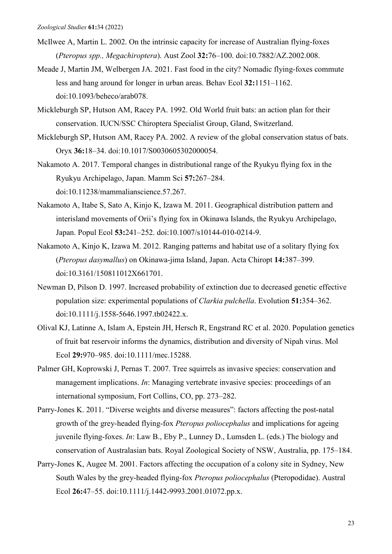- McIlwee A, Martin L. 2002. On the intrinsic capacity for increase of Australian flying-foxes (*Pteropus spp., Megachiroptera*). Aust Zool **32:**76–100. doi:10.7882/AZ.2002.008.
- Meade J, Martin JM, Welbergen JA. 2021. Fast food in the city? Nomadic flying-foxes commute less and hang around for longer in urban areas. Behav Ecol **32:**1151–1162. doi:10.1093/beheco/arab078.
- Mickleburgh SP, Hutson AM, Racey PA. 1992. Old World fruit bats: an action plan for their conservation. IUCN/SSC Chiroptera Specialist Group, Gland, Switzerland.
- Mickleburgh SP, Hutson AM, Racey PA. 2002. A review of the global conservation status of bats. Oryx **36:**18–34. doi:10.1017/S0030605302000054.
- Nakamoto A. 2017. Temporal changes in distributional range of the Ryukyu flying fox in the Ryukyu Archipelago, Japan. Mamm Sci **57:**267–284. doi:10.11238/mammalianscience.57.267.
- Nakamoto A, Itabe S, Sato A, Kinjo K, Izawa M. 2011. Geographical distribution pattern and interisland movements of Orii's flying fox in Okinawa Islands, the Ryukyu Archipelago, Japan. Popul Ecol **53:**241–252. doi:10.1007/s10144-010-0214-9.
- Nakamoto A, Kinjo K, Izawa M. 2012. Ranging patterns and habitat use of a solitary flying fox (*Pteropus dasymallus*) on Okinawa-jima Island, Japan. Acta Chiropt **14:**387–399. doi:10.3161/150811012X661701.
- Newman D, Pilson D. 1997. Increased probability of extinction due to decreased genetic effective population size: experimental populations of *Clarkia pulchella*. Evolution **51:**354–362. doi:10.1111/j.1558-5646.1997.tb02422.x.
- Olival KJ, Latinne A, Islam A, Epstein JH, Hersch R, Engstrand RC et al. 2020. Population genetics of fruit bat reservoir informs the dynamics, distribution and diversity of Nipah virus. Mol Ecol **29:**970–985. doi:10.1111/mec.15288.
- Palmer GH, Koprowski J, Pernas T. 2007. Tree squirrels as invasive species: conservation and management implications. *In*: Managing vertebrate invasive species: proceedings of an international symposium, Fort Collins, CO, pp. 273–282.
- Parry-Jones K. 2011. "Diverse weights and diverse measures": factors affecting the post-natal growth of the grey-headed flying-fox *Pteropus poliocephalus* and implications for ageing juvenile flying-foxes. *In*: Law B., Eby P., Lunney D., Lumsden L. (eds.) The biology and conservation of Australasian bats. Royal Zoological Society of NSW, Australia, pp. 175–184.
- Parry‐Jones K, Augee M. 2001. Factors affecting the occupation of a colony site in Sydney, New South Wales by the grey‐headed flying‐fox *Pteropus poliocephalus* (Pteropodidae). Austral Ecol **26:**47–55. doi:10.1111/j.1442-9993.2001.01072.pp.x.